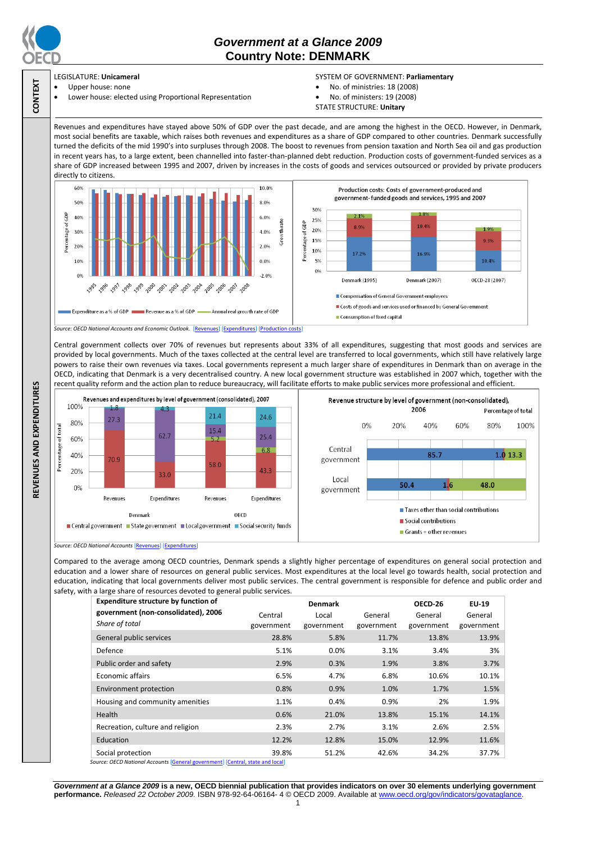

**CONTEXT**

# *Government at a Glance 2009*  **Country Note: DENMARK**

## LEGISLATURE: **Unicameral**

### Upper house: none

Lower house: elected using Proportional Representation

#### SYSTEM OF GOVERNMENT: **Parliamentary**

- No. of ministries: 18 (2008)
- No. of ministers: 19 (2008)
- STATE STRUCTURE: **Unitary**

Revenues and expenditures have stayed above 50% of GDP over the past decade, and are among the highest in the OECD. However, in Denmark, most social benefits are taxable, which raises both revenues and expenditures as a share of GDP compared to other countries. Denmark successfully turned the deficits of the mid 1990's into surpluses through 2008. The boost to revenues from pension taxation and North Sea oil and gas production in recent years has, to a large extent, been channelled into faster-than-planned debt reduction. Production costs of government-funded services as a share of GDP increased between 1995 and 2007, driven by increases in the costs of goods and services outsourced or provided by private producers directly to citizens.



Central government collects over 70% of revenues but represents about 33% of all expenditures, suggesting that most goods and services are provided by local governments. Much of the taxes collected at the central level are transferred to local governments, which still have relatively large powers to raise their own revenues via taxes. Local governments represent a much larger share of expenditures in Denmark than on average in the OECD, indicating that Denmark is a very decentralised country. A new local government structure was established in 2007 which, together with the recent quality reform and the action plan to reduce bureaucracy, will facilitate efforts to make public services more professional and efficient.



*Source: OECD National Accounts* [\[Revenues\]](http://dx.doi.org/10.1787/723418413857) [\[Expenditures\]](http://dx.doi.org/10.1787/723508524025)

Compared to the average among OECD countries, Denmark spends a slightly higher percentage of expenditures on general social protection and education and a lower share of resources on general public services. Most expenditures at the local level go towards health, social protection and education, indicating that local governments deliver most public services. The central government is responsible for defence and public order and safety, with a large share of resources devoted to general public services.

| <b>Expenditure structure by function of</b>                                                         | <b>Denmark</b> |            |            | OECD-26    | EU-19      |
|-----------------------------------------------------------------------------------------------------|----------------|------------|------------|------------|------------|
| government (non-consolidated), 2006                                                                 | Central        | Local      | General    | General    | General    |
| Share of total                                                                                      | government     | government | government | government | government |
| General public services                                                                             | 28.8%          | 5.8%       | 11.7%      | 13.8%      | 13.9%      |
| Defence                                                                                             | 5.1%           | $0.0\%$    | 3.1%       | 3.4%       | 3%         |
| Public order and safety                                                                             | 2.9%           | 0.3%       | 1.9%       | 3.8%       | 3.7%       |
| Economic affairs                                                                                    | 6.5%           | 4.7%       | 6.8%       | 10.6%      | 10.1%      |
| Environment protection                                                                              | 0.8%           | 0.9%       | 1.0%       | 1.7%       | 1.5%       |
| Housing and community amenities                                                                     | 1.1%           | 0.4%       | 0.9%       | 2%         | 1.9%       |
| <b>Health</b>                                                                                       | 0.6%           | 21.0%      | 13.8%      | 15.1%      | 14.1%      |
| Recreation, culture and religion                                                                    | 2.3%           | 2.7%       | 3.1%       | 2.6%       | 2.5%       |
| Education                                                                                           | 12.2%          | 12.8%      | 15.0%      | 12.9%      | 11.6%      |
| Social protection<br>Courses OECD Neticeal Accounts [Conoral soussemeant] [Control state and local] | 39.8%          | 51.2%      | 42.6%      | 34.2%      | 37.7%      |

*Source: OECD National Accounts* [\[General government\]](http://dx.doi.org/10.1787/723501646741) [\[Central, state and local\]](http://dx.doi.org/10.1787/723508524025)

*Government at a Glance 2009* **is a new, OECD biennial publication that provides indicators on over 30 elements underlying government performance.** *Released 22 October 2009.* ISBN 978-92-64-06164- 4 © OECD 2009. Available at www.oecd.org/gov/indicators/govataglance.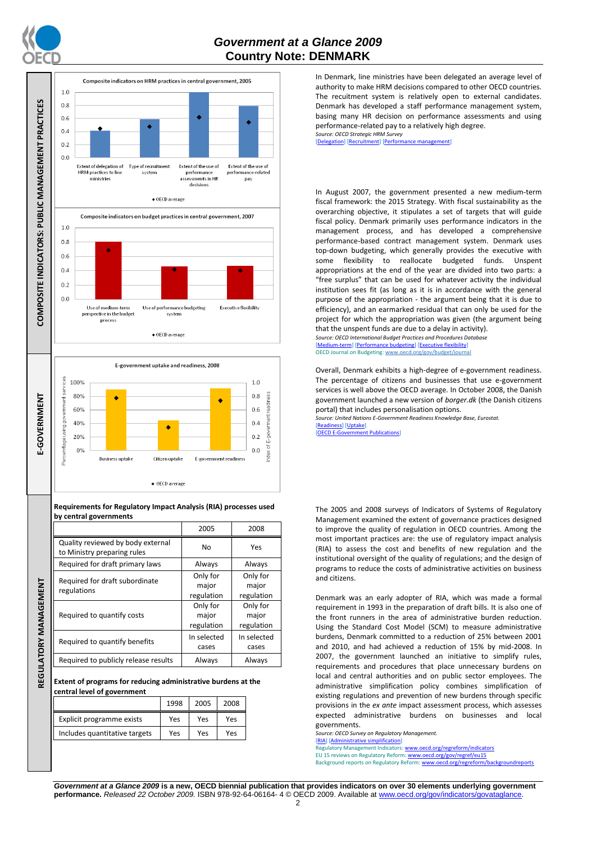

**REGULATORY MANAGEMENT**

REGULATORY MANAGEMENT





**Requirements for Regulatory Impact Analysis (RIA) processes used by central governments**

|  |                                                                  | 2005                            | 2008                            |  |
|--|------------------------------------------------------------------|---------------------------------|---------------------------------|--|
|  | Quality reviewed by body external<br>to Ministry preparing rules | No                              | Yes                             |  |
|  | Required for draft primary laws                                  | Always                          | Always                          |  |
|  | Required for draft subordinate<br>regulations                    | Only for<br>major<br>regulation | Only for<br>major<br>regulation |  |
|  | Required to quantify costs                                       | Only for<br>major<br>regulation | Only for<br>major<br>regulation |  |
|  | Required to quantify benefits                                    | In selected<br>cases            | In selected<br>cases            |  |
|  | Required to publicly release results                             | Always                          | Always                          |  |

**Extent of programs for reducing administrative burdens at the central level of government**

|                               | 1998 | 2005 | 2008 |
|-------------------------------|------|------|------|
| Explicit programme exists     | Yes  | Yes  | Yes  |
| Includes quantitative targets | Yes  | Yes  | Yes  |

In Denmark, line ministries have been delegated an average level of authority to make HRM decisions compared to other OECD countries. The recuitment system is relatively open to external candidates. Denmark has developed a staff performance management system, basing many HR decision on performance assessments and using performance-related pay to a relatively high degree. *Source: OECD Strategic HRM Survey* 

[\[Delegation\]](http://dx.doi.org/10.1787/723663744332) [\[Recruitment\]](http://dx.doi.org/10.1787/723668744361) [\[Performance management\]](http://dx.doi.org/10.1787/723750171710)

In August 2007, the government presented a new medium-term fiscal framework: the 2015 Strategy. With fiscal sustainability as the overarching objective, it stipulates a set of targets that will guide fiscal policy. Denmark primarily uses performance indicators in the management process, and has developed a comprehensive performance-based contract management system. Denmark uses top-down budgeting, which generally provides the executive with some flexibility to reallocate budgeted funds. Unspent appropriations at the end of the year are divided into two parts: a "free surplus" that can be used for whatever activity the individual institution sees fit (as long as it is in accordance with the general purpose of the appropriation - the argument being that it is due to efficiency), and an earmarked residual that can only be used for the project for which the appropriation was given (the argument being that the unspent funds are due to a delay in activity).

*Source: OECD International Budget Practices and Procedures Database* [\[Medium-term\]](http://dx.doi.org/10.1787/723856770865) [\[Performance budgeting\]](http://dx.doi.org/10.1787/723863437686) [\[Executive flexibility\]](http://dx.doi.org/10.1787/723876713213) OECD Journal on Budgeting[: www.oecd.org/gov/budget/journal](http://www.oecd.org/gov/budget/journal)

Overall, Denmark exhibits a high-degree of e-government readiness. The percentage of citizens and businesses that use e-government services is well above the OECD average. In October 2008, the Danish government launched a new version of *borger.dk* (the Danish citizens portal) that includes personalisation options.

*Source: United Nations E-Government Readiness Knowledge Base, Eurostat.* [\[Readiness\]](http://dx.doi.org/10.1787/724248078408) [\[Uptake\]](http://dx.doi.org/10.1787/724264662272)

[**OECD E-Government Publications**]

The 2005 and 2008 surveys of Indicators of Systems of Regulatory Management examined the extent of governance practices designed to improve the quality of regulation in OECD countries. Among the most important practices are: the use of regulatory impact analysis (RIA) to assess the cost and benefits of new regulation and the institutional oversight of the quality of regulations; and the design of programs to reduce the costs of administrative activities on business and citizens.

Denmark was an early adopter of RIA, which was made a formal requirement in 1993 in the preparation of draft bills. It is also one of the front runners in the area of administrative burden reduction. Using the Standard Cost Model (SCM) to measure administrative burdens, Denmark committed to a reduction of 25% between 2001 and 2010, and had achieved a reduction of 15% by mid-2008. In 2007, the government launched an initiative to simplify rules, requirements and procedures that place unnecessary burdens on local and central authorities and on public sector employees. The administrative simplification policy combines simplification of existing regulations and prevention of new burdens through specific provisions in the *ex ante* impact assessment process, which assesses expected administrative burdens on businesses and local governments.

*Source: OECD Survey on Regulatory Management.* [\[RIA\]](http://dx.doi.org/10.1787/724045144354) [\[Administrative simplification\]](http://dx.doi.org/10.1787/724058851054)

Regulatory Management Indicators[: www.oecd.org/regreform/indicators](http://www.oecd.org/regreform/indicators)

EU 15 reviews on Regulatory Reform[: www.oecd.org/gov/regref/eu15](http://www.oecd.org/gov/regref/eu15) Background reports on Regulatory Reform[: www.oecd.org/regreform/backgroundreports](http://www.oecd.org/regreform/backgroundreports)

*Government at a Glance 2009* **is a new, OECD biennial publication that provides indicators on over 30 elements underlying government performance.** *Released 22 October 2009.* ISBN 978-92-64-06164- 4 © OECD 2009. Available at www.oecd.org/gov/indicators/govataglance.